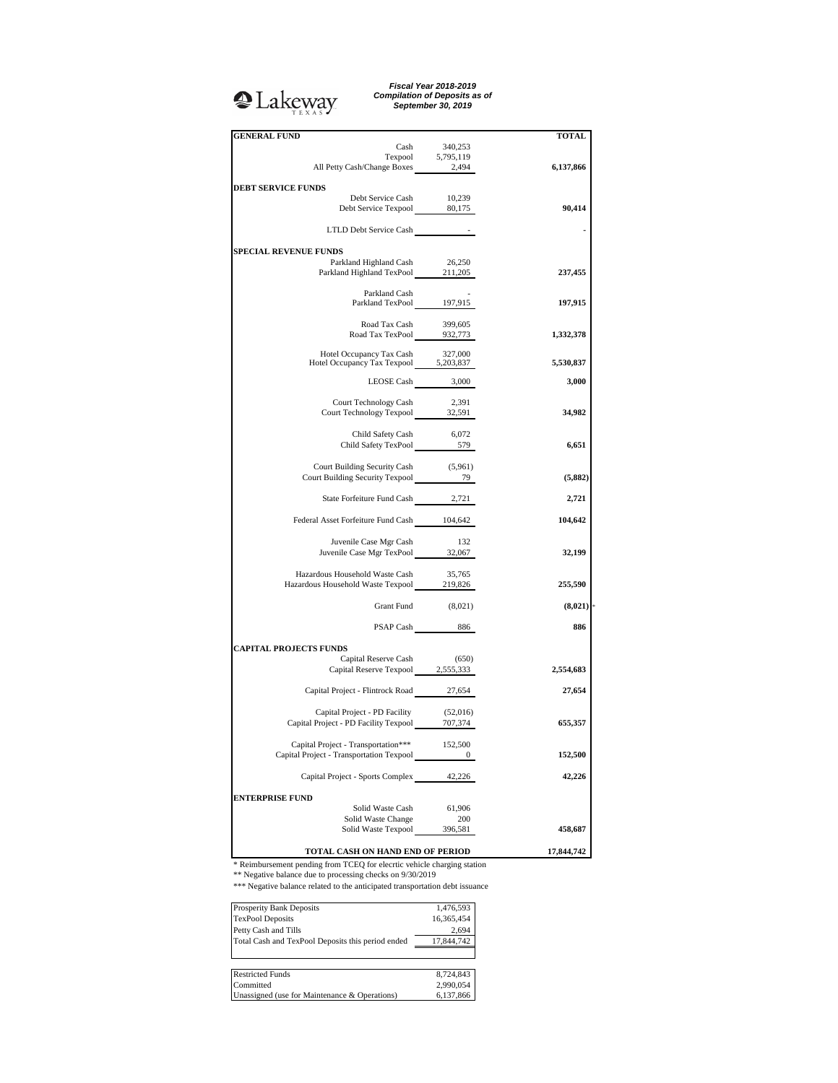## <sup>2</sup>Lakeway

*Fiscal Year 2018-2019 Compilation of Deposits as of September 30, 2019*

|            |                   | <b>GENERAL FUND</b>                                                                                                      |
|------------|-------------------|--------------------------------------------------------------------------------------------------------------------------|
| TOTAL      | 340,253           | Cash                                                                                                                     |
|            | Texpool 5,795,119 |                                                                                                                          |
| 6,137,866  |                   | All Petty Cash/Change Boxes 2,494                                                                                        |
|            |                   |                                                                                                                          |
|            |                   | <b>DEBT SERVICE FUNDS</b>                                                                                                |
|            |                   | Debt Service Cash 10,239<br>Debt Service Texpool 80,175                                                                  |
| 90,414     |                   |                                                                                                                          |
|            |                   | LTLD Debt Service Cash -                                                                                                 |
|            |                   |                                                                                                                          |
|            |                   | <b>SPECIAL REVENUE FUNDS</b>                                                                                             |
|            | 26,250            | Parkland Highland Cash                                                                                                   |
| 237,455    |                   | Parkland Highland TexPool 211,205                                                                                        |
|            |                   |                                                                                                                          |
|            |                   | Parkland Cash<br>Parkland TexPool 197,915                                                                                |
| 197,915    |                   |                                                                                                                          |
|            | 399,605           | Road Tax Cash                                                                                                            |
| 1,332,378  |                   | Road Tax TexPool 932,773                                                                                                 |
|            |                   |                                                                                                                          |
|            | 327,000           | Hotel Occupancy Tax Cash                                                                                                 |
| 5,530,837  |                   | Hotel Occupancy Tax Cash 527,000<br>Hotel Occupancy Tax Texpool 5,203,837                                                |
| 3,000      |                   |                                                                                                                          |
|            |                   | LEOSE Cash 3,000                                                                                                         |
|            | 2,391             | Court Technology Cash                                                                                                    |
| 34,982     |                   | Court Technology Texpool 32,591                                                                                          |
|            |                   |                                                                                                                          |
|            |                   | Child Safety Cash                                                                                                        |
| 6,651      |                   | Child Safety Cash 6,072<br>Child Safety TexPool 579                                                                      |
|            |                   |                                                                                                                          |
|            |                   | Court Building Security Cash (5,961)<br>Court Building Security Texpool 79                                               |
| (5,882)    |                   |                                                                                                                          |
|            |                   |                                                                                                                          |
| 2,721      |                   | State Forfeiture Fund Cash 2,721                                                                                         |
| 104,642    |                   | Federal Asset Forfeiture Fund Cash 104,642                                                                               |
|            |                   |                                                                                                                          |
|            | - 132             | Juvenile Case Mgr Cash                                                                                                   |
| 32,199     |                   | Juvenile Case Mgr TexPool 32,067                                                                                         |
|            |                   |                                                                                                                          |
|            | 35,765            | Hazardous Household Waste Cash                                                                                           |
| 255,590    |                   | Hazardous Household Waste Texpool 219,826                                                                                |
|            |                   |                                                                                                                          |
| (8,021)    |                   | Grant Fund (8,021)                                                                                                       |
| 886        |                   |                                                                                                                          |
|            |                   | PSAP Cash 886                                                                                                            |
|            |                   | <b>CAPITAL PROJECTS FUNDS</b>                                                                                            |
|            | (650)             | Capital Reserve Cash                                                                                                     |
| 2,554,683  |                   | Capital Reserve Texpool 2,555,333                                                                                        |
|            |                   |                                                                                                                          |
| 27,654     |                   | Capital Project - Flintrock Road 27,654                                                                                  |
|            |                   |                                                                                                                          |
|            | (52,016)          | Capital Project - PD Facility<br>Capital Project - PD Facility (52,016)<br>Capital Project - PD Facility Texpool 707,374 |
| 655,357    |                   |                                                                                                                          |
|            |                   |                                                                                                                          |
| 152,500    | 152,500           | Capital Project - Transportation***                                                                                      |
|            | $\bf{0}$          | Capital Project - Transportation Texpool                                                                                 |
| 42,226     |                   | Capital Project - Sports Complex 42,226                                                                                  |
|            |                   |                                                                                                                          |
|            |                   | <b>ENTERPRISE FUND</b>                                                                                                   |
|            | 61,906            | Solid Waste Cash                                                                                                         |
|            | 200               | Solid Waste Change                                                                                                       |
| 458,687    | 396,581           | Solid Waste Texpool                                                                                                      |
|            |                   |                                                                                                                          |
| 17,844,742 |                   | TOTAL CASH ON HAND END OF PERIOD                                                                                         |

\* Reimbursement pending from TCEQ for elecrtic vehicle charging station \*\* Negative balance due to processing checks on 9/30/2019

\*\*\* Negative balance related to the anticipated transportation debt issuance

| <b>Prosperity Bank Deposits</b>                   | 1,476,593  |
|---------------------------------------------------|------------|
| <b>TexPool Deposits</b>                           | 16,365,454 |
| Petty Cash and Tills                              | 2.694      |
| Total Cash and TexPool Deposits this period ended | 17,844,742 |
|                                                   |            |
| <b>Restricted Funds</b>                           | 8,724,843  |
| Committed                                         | 2,990,054  |
| Unassigned (use for Maintenance & Operations)     | 6.137.866  |